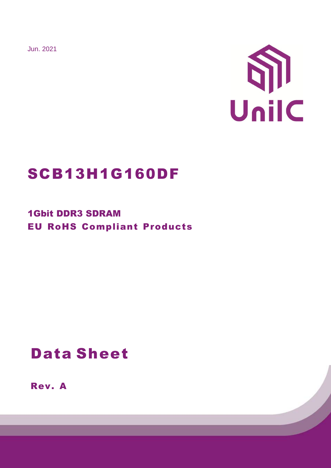Jun. 2021



# SCB13H1G160DF

1Gbit DDR3 SDRAM EU RoHS Compliant Products

# Data Sheet

Rev. A

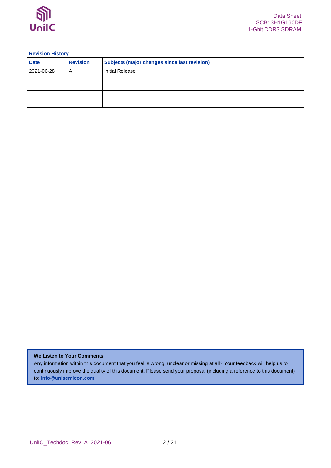

| <b>Revision History</b> |                 |                                                     |  |  |
|-------------------------|-----------------|-----------------------------------------------------|--|--|
| <b>Date</b>             | <b>Revision</b> | <b>Subjects (major changes since last revision)</b> |  |  |
| 2021-06-28              | A               | <b>Initial Release</b>                              |  |  |
|                         |                 |                                                     |  |  |
|                         |                 |                                                     |  |  |
|                         |                 |                                                     |  |  |
|                         |                 |                                                     |  |  |

### **We Listen to Your Comments**

Any information within this document that you feel is wrong, unclear or missing at all? Your feedback will help us to continuously improve the quality of this document. Please send your proposal (including a reference to this document) to: **[info@unisemicon.com](mailto:info@scsemicon.com)**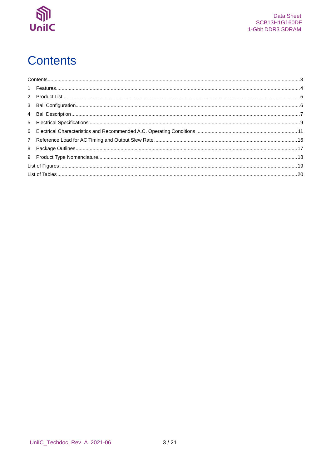

# <span id="page-2-0"></span>**Contents**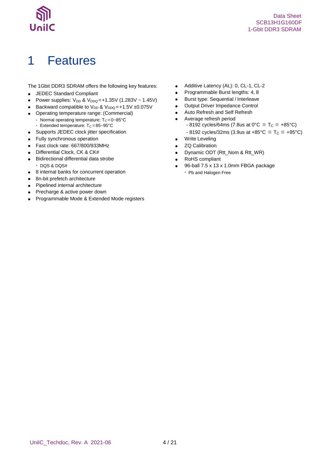

## <span id="page-3-0"></span>1 Features

The 1Gbit DDR3 SDRAM offers the following key features:

- JEDEC Standard Compliant
- Power supplies:  $V_{DD}$  &  $V_{DDQ} = +1.35V (1.283V 1.45V)$
- **Backward compatible to V<sub>DD</sub> & V<sub>DDQ</sub> = +1.5V ±0.075V**
- Operating temperature range: (Commercial)
	- Normal operating temperature:  $T_c = 0 85^{\circ}C$ - Extended temperature:  $T_c = 85 - 95^{\circ}C$
	-
- Supports JEDEC clock jitter specification
- Fully synchronous operation
- Fast clock rate: 667/800/933MHz
- Differential Clock, CK & CK#
- Bidirectional differential data strobe - DQS & DQS#
- 8 internal banks for concurrent operation
- 8n-bit prefetch architecture
- Pipelined internal architecture
- Precharge & active power down
- Programmable Mode & Extended Mode registers
- Additive Latency (AL): 0, CL-1, CL-2
- Programmable Burst lengths: 4, 8
- Burst type: Sequential / Interleave
- Output Driver Impedance Control
- Auto Refresh and Self Refresh
- Average refresh period
	- $-8192$  cycles/64ms (7.8us at 0°C  $\leq$  T<sub>C</sub>  $\leq$  +85°C)
	- $-8192$  cycles/32ms (3.9us at  $+85^{\circ}$ C  $\leq T_C \leq +95^{\circ}$ C)
- **•** Write Leveling
- ZQ Calibration
- Dynamic ODT (Rtt\_Nom & Rtt\_WR)
- RoHS compliant
- 96-ball 7.5 x 13 x 1.0mm FBGA package - Pb and Halogen Free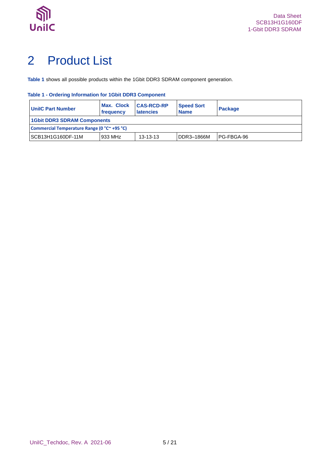

# <span id="page-4-0"></span>2 Product List

**[Table 1](#page-4-1)** shows all possible products within the 1Gbit DDR3 SDRAM component generation.

### <span id="page-4-1"></span>**Table 1 - Ordering Information for 1Gbit DDR3 Component**

| <b>UnilC Part Number</b>                                                | Max. Clock<br>frequency            | <b>CAS-RCD-RP</b><br><b>latencies</b> | <b>Speed Sort</b><br><b>Name</b> | <b>Package</b> |  |  |  |
|-------------------------------------------------------------------------|------------------------------------|---------------------------------------|----------------------------------|----------------|--|--|--|
|                                                                         | <b>1Gbit DDR3 SDRAM Components</b> |                                       |                                  |                |  |  |  |
| Commercial Temperature Range (0 °C <sup><math>\sim</math></sup> +95 °C) |                                    |                                       |                                  |                |  |  |  |
| SCB13H1G160DF-11M                                                       | 933 MHz                            | $13 - 13 - 13$                        | DDR3-1866M                       | IPG-FBGA-96    |  |  |  |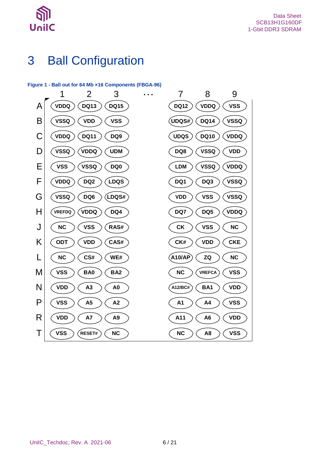

## <span id="page-5-0"></span>3 Ball Configuration

### <span id="page-5-1"></span>**Figure 1 - Ball out for 64 Mb ×16 Components (FBGA-96)**

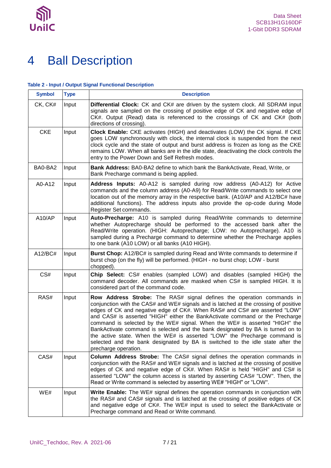

## <span id="page-6-0"></span>4 Ball Description

#### <span id="page-6-1"></span>**Table 2 - Input / Output Signal Functional Description**

| <b>Symbol</b> | <b>Type</b> | <b>Description</b>                                                                                                                                                                                                                                                                                                                                                                                                                                                                                                                                                                                                                                                                 |
|---------------|-------------|------------------------------------------------------------------------------------------------------------------------------------------------------------------------------------------------------------------------------------------------------------------------------------------------------------------------------------------------------------------------------------------------------------------------------------------------------------------------------------------------------------------------------------------------------------------------------------------------------------------------------------------------------------------------------------|
| CK, CK#       | Input       | Differential Clock: CK and CK# are driven by the system clock. All SDRAM input<br>signals are sampled on the crossing of positive edge of CK and negative edge of<br>CK#. Output (Read) data is referenced to the crossings of CK and CK# (both<br>directions of crossing).                                                                                                                                                                                                                                                                                                                                                                                                        |
| <b>CKE</b>    | Input       | Clock Enable: CKE activates (HIGH) and deactivates (LOW) the CK signal. If CKE<br>goes LOW synchronously with clock, the internal clock is suspended from the next<br>clock cycle and the state of output and burst address is frozen as long as the CKE<br>remains LOW. When all banks are in the idle state, deactivating the clock controls the<br>entry to the Power Down and Self Refresh modes.                                                                                                                                                                                                                                                                              |
| BA0-BA2       | Input       | <b>Bank Address:</b> BA0-BA2 define to which bank the BankActivate, Read, Write, or<br>Bank Precharge command is being applied.                                                                                                                                                                                                                                                                                                                                                                                                                                                                                                                                                    |
| A0-A12        | Input       | Address Inputs: A0-A12 is sampled during row address (A0-A12) for Active<br>commands and the column address (A0-A9) for Read/Write commands to select one<br>location out of the memory array in the respective bank. (A10/AP and A12/BC# have<br>additional functions). The address inputs also provide the op-code during Mode<br>Register Set commands.                                                                                                                                                                                                                                                                                                                         |
| A10/AP        | Input       | Auto-Precharge: A10 is sampled during Read/Write commands to determine<br>whether Autoprecharge should be performed to the accessed bank after the<br>Read/Write operation. (HIGH: Autoprecharge; LOW: no Autoprecharge). A10 is<br>sampled during a Precharge command to determine whether the Precharge applies<br>to one bank (A10 LOW) or all banks (A10 HIGH).                                                                                                                                                                                                                                                                                                                |
| A12/BC#       | Input       | <b>Burst Chop:</b> A12/BC# is sampled during Read and Write commands to determine if<br>burst chop (on the fly) will be performed. (HIGH - no burst chop; LOW - burst<br>chopped).                                                                                                                                                                                                                                                                                                                                                                                                                                                                                                 |
| CS#           | Input       | Chip Select: CS# enables (sampled LOW) and disables (sampled HIGH) the<br>command decoder. All commands are masked when CS# is sampled HIGH. It is<br>considered part of the command code.                                                                                                                                                                                                                                                                                                                                                                                                                                                                                         |
| RAS#          | Input       | Row Address Strobe: The RAS# signal defines the operation commands in<br>conjunction with the CAS# and WE# signals and is latched at the crossing of positive<br>edges of CK and negative edge of CK#. When RAS# and CS# are asserted "LOW"<br>and CAS# is asserted "HIGH" either the BankActivate command or the Precharge<br>command is selected by the WE# signal. When the WE# is asserted "HIGH" the<br>BankActivate command is selected and the bank designated by BA is turned on to<br>the active state. When the WE# is asserted "LOW" the Precharge command is<br>selected and the bank designated by BA is switched to the idle state after the<br>precharge operation. |
| CAS#          | Input       | Column Address Strobe: The CAS# signal defines the operation commands in<br>conjunction with the RAS# and WE# signals and is latched at the crossing of positive<br>edges of CK and negative edge of CK#. When RAS# is held "HIGH" and CS# is<br>asserted "LOW" the column access is started by asserting CAS# "LOW". Then, the<br>Read or Write command is selected by asserting WE# "HIGH" or "LOW".                                                                                                                                                                                                                                                                             |
| WE#           | Input       | Write Enable: The WE# signal defines the operation commands in conjunction with<br>the RAS# and CAS# signals and is latched at the crossing of positive edges of CK<br>and negative edge of CK#. The WE# input is used to select the BankActivate or<br>Precharge command and Read or Write command.                                                                                                                                                                                                                                                                                                                                                                               |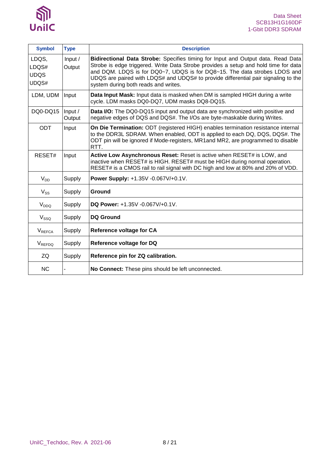

| <b>Symbol</b>                          | <b>Type</b>       | <b>Description</b>                                                                                                                                                                                                                                                                                                                                                                 |
|----------------------------------------|-------------------|------------------------------------------------------------------------------------------------------------------------------------------------------------------------------------------------------------------------------------------------------------------------------------------------------------------------------------------------------------------------------------|
| LDQS,<br>LDQS#<br><b>UDQS</b><br>UDQS# | Input /<br>Output | Bidirectional Data Strobe: Specifies timing for Input and Output data. Read Data<br>Strobe is edge triggered. Write Data Strobe provides a setup and hold time for data<br>and DQM. LDQS is for DQ0~7, UDQS is for DQ8~15. The data strobes LDOS and<br>UDQS are paired with LDQS# and UDQS# to provide differential pair signaling to the<br>system during both reads and writes. |
| LDM, UDM                               | Input             | Data Input Mask: Input data is masked when DM is sampled HIGH during a write<br>cycle. LDM masks DQ0-DQ7, UDM masks DQ8-DQ15.                                                                                                                                                                                                                                                      |
| DQ0-DQ15                               | Input /<br>Output | Data I/O: The DQ0-DQ15 input and output data are synchronized with positive and<br>negative edges of DQS and DQS#. The I/Os are byte-maskable during Writes.                                                                                                                                                                                                                       |
| <b>ODT</b>                             | Input             | On Die Termination: ODT (registered HIGH) enables termination resistance internal<br>to the DDR3L SDRAM. When enabled, ODT is applied to each DQ, DQS, DQS#. The<br>ODT pin will be ignored if Mode-registers, MR1and MR2, are programmed to disable<br>RTT.                                                                                                                       |
| RESET#                                 | Input             | Active Low Asynchronous Reset: Reset is active when RESET# is LOW, and<br>inactive when RESET# is HIGH. RESET# must be HIGH during normal operation.<br>RESET# is a CMOS rail to rail signal with DC high and low at 80% and 20% of VDD.                                                                                                                                           |
| $V_{DD}$                               | Supply            | Power Supply: +1.35V -0.067V/+0.1V.                                                                                                                                                                                                                                                                                                                                                |
| $V_{SS}$                               | Supply            | Ground                                                                                                                                                                                                                                                                                                                                                                             |
| V <sub>DDQ</sub>                       | Supply            | DQ Power: +1.35V -0.067V/+0.1V.                                                                                                                                                                                                                                                                                                                                                    |
| V <sub>SSQ</sub>                       | Supply            | <b>DQ Ground</b>                                                                                                                                                                                                                                                                                                                                                                   |
| <b>V</b> REFCA                         | Supply            | <b>Reference voltage for CA</b>                                                                                                                                                                                                                                                                                                                                                    |
| VREFDQ                                 | Supply            | Reference voltage for DQ                                                                                                                                                                                                                                                                                                                                                           |
| ZQ                                     | Supply            | Reference pin for ZQ calibration.                                                                                                                                                                                                                                                                                                                                                  |
| <b>NC</b>                              |                   | No Connect: These pins should be left unconnected.                                                                                                                                                                                                                                                                                                                                 |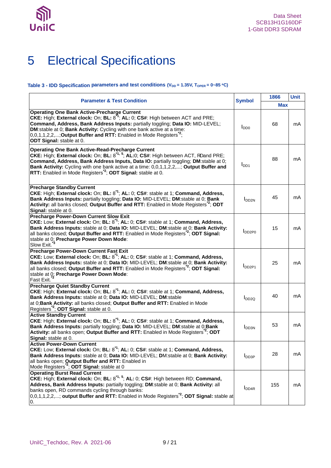

# <span id="page-8-0"></span>5 Electrical Specifications

#### <span id="page-8-1"></span>**Table 3 - IDD Specification parameters and test conditions (V<sub>DD</sub> = 1.35V, T<sub>OPER</sub> = 0~85 °C)**

| <b>Parameter &amp; Test Condition</b>                                                                                                                                                                                                                                                                                                                                                                                    |                            | 1866       | <b>Unit</b> |
|--------------------------------------------------------------------------------------------------------------------------------------------------------------------------------------------------------------------------------------------------------------------------------------------------------------------------------------------------------------------------------------------------------------------------|----------------------------|------------|-------------|
|                                                                                                                                                                                                                                                                                                                                                                                                                          | <b>Symbol</b>              | <b>Max</b> |             |
| <b>Operating One Bank Active-Precharge Current</b><br>CKE: High; External clock: On; BL: 8 <sup>1</sup> ; AL: 0; CS#: High between ACT and PRE;<br>Command, Address, Bank Address Inputs: partially toggling; Data IO: MID-LEVEL;<br>DM:stable at 0; Bank Activity: Cycling with one bank active at a time:<br>0,0,1,1,2,2,; Output Buffer and RTT: Enabled in Mode Registers <sup>2</sup> ;<br>ODT Signal: stable at 0. | $I_{DD0}$                  | 68         | mA          |
| <b>Operating One Bank Active-Read-Precharge Current</b><br>CKE: High; External clock: On; BL: 8 <sup>*1, 5</sup> ; AL:0; CS#: High between ACT, RDand PRE;<br>Command, Address, Bank Address Inputs, Data IO: partially toggling; DM:stable at 0;<br>Bank Activity: Cycling with one bank active at a time: 0,0,1,1,2,2,; Output Buffer and<br>RTT: Enabled in Mode Registers <sup>2</sup> ; ODT Signal: stable at 0.    | $I_{DD1}$                  | 88         | mA          |
| <b>Precharge Standby Current</b><br>CKE: High; External clock: On; BL: $8^1$ ; AL: 0; CS#: stable at 1; Command, Address,<br>Bank Address Inputs: partially toggling; Data IO: MID-LEVEL; DM:stable at 0; Bank<br>Activity: all banks closed; Output Buffer and RTT: Enabled in Mode Registers <sup>*2</sup> ; ODT<br>Signal: stable at 0.                                                                               | I <sub>DD2N</sub>          | 45         | mA          |
| <b>Precharge Power-Down Current Slow Exit</b><br>CKE: Low; External clock: On; BL: 8 <sup>*1</sup> ; AL: 0; CS#: stable at 1; Command, Address,<br>Bank Address Inputs: stable at 0; Data IO: MID-LEVEL; DM:stable at 0; Bank Activity:<br>all banks closed; Output Buffer and RTT: Enabled in Mode Registers <sup>2</sup> ; ODT Signal:<br>stable at 0; Precharge Power Down Mode:<br>Slow Exit.                        | <b>I</b> DD <sub>2P0</sub> | 15         | mA          |
| <b>Precharge Power-Down Current Fast Exit</b><br>CKE: Low; External clock: On; BL: 8 <sup>*1</sup> ; AL: 0; CS#: stable at 1; Command, Address,<br>Bank Address Inputs: stable at 0; Data IO: MID-LEVEL; DM:stable at 0; Bank Activity:<br>all banks closed; Output Buffer and RTT: Enabled in Mode Registers <sup>2</sup> ; ODT Signal:<br>stable at 0; Precharge Power Down Mode:<br>Fast Exit.                        | $I_{DD2P1}$                | 25         | mA          |
| <b>Precharge Quiet Standby Current</b><br>CKE: High; External clock: On; BL: 8 <sup>1</sup> ; AL: 0; CS#: stable at 1; Command, Address,<br>Bank Address Inputs: stable at 0; Data IO: MID-LEVEL; DM:stable<br>at 0; Bank Activity: all banks closed; Output Buffer and RTT: Enabled in Mode<br>Registers <sup>"2</sup> ; ODT Signal: stable at 0.                                                                       | $I_{DD2Q}$                 | 40         | mA          |
| <b>Active Standby Current</b><br>CKE: High; External clock: On; BL: 8 <sup>1</sup> ; AL: 0; CS#: stable at 1; Command, Address,<br>Bank Address Inputs: partially toggling; Data IO: MID-LEVEL; DM:stable at 0; Bank<br>Activity: all banks open; Output Buffer and RTT: Enabled in Mode Registers <sup>2</sup> ; ODT<br>Signal: stable at 0.                                                                            | I <sub>DD3N</sub>          | 53         | mA          |
| <b>Active Power-Down Current</b><br>CKE: Low; External clock: On; BL: 8 <sup>1</sup> ; AL: 0; CS#: stable at 1; Command, Address,<br>Bank Address Inputs: stable at 0; Data IO: MID-LEVEL; DM:stable at 0; Bank Activity:<br>all banks open; Output Buffer and RTT: Enabled in<br>Mode Registers <sup>2</sup> ; ODT Signal: stable at 0                                                                                  | $I_{DD3P}$                 | 28         | mA          |
| <b>Operating Burst Read Current</b><br>CKE: High; External clock: On; BL: 8 <sup>*1, 5</sup> ; AL: 0; CS#: High between RD; Command,<br>Address, Bank Address Inputs: partially toggling; DM:stable at 0; Bank Activity: all<br>banks open, RD commands cycling through banks:<br>$0,0,1,1,2,2,$ ; output Buffer and RTT: Enabled in Mode Registers <sup>2</sup> ; ODT Signal: stable at<br>0.                           | I <sub>DD4R</sub>          | 155        | mA          |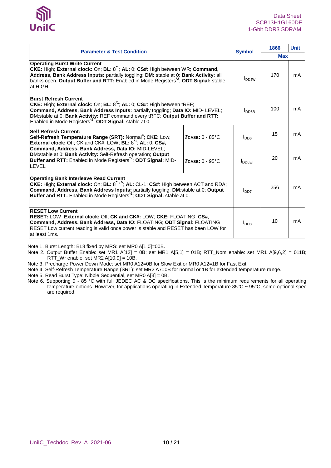| <b>Parameter &amp; Test Condition</b>                                                                                                                                                                                                                                                                                                                       | <b>Symbol</b>            | 1866               | <b>Unit</b> |    |  |
|-------------------------------------------------------------------------------------------------------------------------------------------------------------------------------------------------------------------------------------------------------------------------------------------------------------------------------------------------------------|--------------------------|--------------------|-------------|----|--|
|                                                                                                                                                                                                                                                                                                                                                             |                          |                    |             |    |  |
| <b>Operating Burst Write Current</b><br>CKE: High; External clock: On; BL: 8 <sup>*1</sup> ; AL: 0; CS#: High between WR; Command,<br>Address, Bank Address Inputs: partially toggling; DM: stable at 0; Bank Activity: all<br>banks open. Output Buffer and RTT: Enabled in Mode Registers <sup>2</sup> ; ODT Signal: stable<br>at HIGH.                   |                          |                    | 170         | mA |  |
| <b>Burst Refresh Current</b><br>CKE: High; External clock: On; BL: $8^{\text{A}}$ ; AL: 0; CS#: High between tREF;<br>Command, Address, Bank Address Inputs: partially toggling; Data IO: MID- LEVEL;<br>DM:stable at 0; Bank Activity: REF command every tRFC; Output Buffer and RTT:<br>Enabled in Mode Registers <sup>2</sup> ; ODT Signal: stable at 0. | I <sub>DDBB</sub>        | 100                | mA          |    |  |
| <b>Self Refresh Current:</b><br>Self-Refresh Temperature Range (SRT): Normal <sup>4</sup> ; CKE: Low;<br>$T$ CASE: $0 - 85$ °C<br>External clock: Off; CK and CK#: LOW; BL: $8^{\text{1}}$ ; AL: 0; CS#,<br>Command, Address, Bank Address, Data IO: MID-LEVEL;                                                                                             |                          |                    | 15          | mA |  |
| DM:stable at 0; Bank Activity: Self-Refresh operation; Output<br>Buffer and RTT: Enabled in Mode Registers <sup>2</sup> ; ODT Signal: MID-<br><b>LEVEL</b>                                                                                                                                                                                                  | $TCASE: 0 - 95$ °C       | $I_{\text{DD6ET}}$ | 20          | mA |  |
| <b>Operating Bank Interleave Read Current</b><br>CKE: High; External clock: On; BL: 8 <sup>*1, 5</sup> ; AL: CL-1; CS#: High between ACT and RDA;<br>Command, Address, Bank Address Inputs: partially toggling; DM:stable at 0; Output<br>Buffer and RTT: Enabled in Mode Registers <sup>72</sup> ; ODT Signal: stable at 0.                                | l <sub>DD7</sub>         | 256                | mA          |    |  |
| <b>RESET Low Current</b><br>RESET: LOW; External clock: Off; CK and CK#: LOW; CKE: FLOATING; CS#,<br>Command, Address, Bank Address, Data IO: FLOATING; ODT Signal: FLOATING<br>RESET Low current reading is valid once power is stable and RESET has been LOW for<br>at least 1ms.                                                                         | <b>I</b> DD <sub>8</sub> | 10                 | mA          |    |  |

Note 1. Burst Length: BL8 fixed by MRS: set MR0 A[1,0]=00B.

Note 2. Output Buffer Enable: set MR1 A[12] = 0B; set MR1 A[5,1] = 01B; RTT\_Nom enable: set MR1 A[9,6,2] = 011B;  $RTT_Wr$  enable: set MR2 A[10,9] = 10B.

Note 3. Precharge Power Down Mode: set MR0 A12=0B for Slow Exit or MR0 A12=1B for Fast Exit.

Note 4. Self-Refresh Temperature Range (SRT): set MR2 A7=0B for normal or 1B for extended temperature range.

Note 5. Read Burst Type: Nibble Sequential, set MR0 A[3] = 0B.

Note 6. Supporting 0 - 85 °C with full JEDEC AC & DC specifications. This is the minimum requirements for all operating temperature options. However, for applications operating in Extended Temperature 85°C ~ 95°C, some optional spec are required.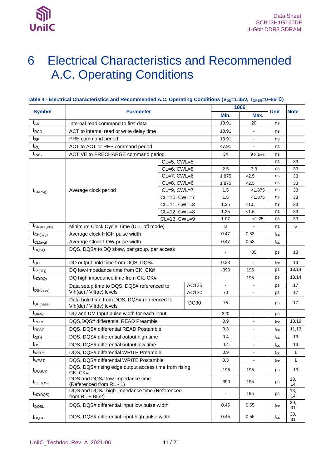

## <span id="page-10-0"></span>6 Electrical Characteristics and Recommended A.C. Operating Conditions

| <b>Symbol</b>                   |                                                                         |                   |             | 1866           |                              |                 |           |
|---------------------------------|-------------------------------------------------------------------------|-------------------|-------------|----------------|------------------------------|-----------------|-----------|
|                                 | <b>Parameter</b>                                                        | Min.              | Max.        | <b>Unit</b>    | <b>Note</b>                  |                 |           |
| $t_{AA}$                        | Internal read command to first data                                     |                   |             |                | 20                           | ns              |           |
| $t_{\scriptscriptstyle\rm RCD}$ | ACT to internal read or write delay time                                |                   |             |                | ÷.                           | ns              |           |
| $t_{RP}$                        | PRE command period                                                      |                   |             | 13.91          | $\blacksquare$               | ns              |           |
| $t_{RC}$                        | ACT to ACT or REF command period                                        |                   |             | 47.91          | $\blacksquare$               | ns              |           |
| $t_{RAS}$                       | ACTIVE to PRECHARGE command period                                      |                   |             | 34             | $9 \times t_{REF}$           | ns              |           |
|                                 |                                                                         | CL=5, CWL=5       |             |                |                              | ns              | 33        |
|                                 |                                                                         | CL=6, CWL=5       |             | 2.5            | 3.3                          | ns              | 33        |
|                                 |                                                                         | CL=7, CWL=6       |             | 1.875          | 2.5                          | ns              | 33        |
|                                 |                                                                         | CL=8, CWL=6       |             | 1.875          | 2.5                          | ns              | 33        |
| $t_{CK(avg)}$                   | Average clock period                                                    | CL=9, CWL=7       |             | 1.5            | < 1.875                      | ns              | 33        |
|                                 |                                                                         | CL=10, CWL=7      |             | 1.5            | < 1.875                      | ns              | 33        |
|                                 |                                                                         | CL=11, CWL=8      |             | 1.25           | < 1.5                        | ns              | 33        |
|                                 |                                                                         | CL=12, CWL=8      |             | 1.25           | < 1.5                        | ns              | 33        |
|                                 |                                                                         | $CL=13$ , $CWL=9$ |             | 1.07           | < 1.25                       | ns              | 33        |
| $t_{CK (DLL OFF)}$              | Minimum Clock Cycle Time (DLL off mode)                                 |                   |             | 8              |                              | ns              | 6         |
| $t_{CH(avg)}$                   | Average clock HIGH pulse width                                          |                   |             | 0.47           | 0.53                         | $t_{CK}$        |           |
| $t_{CL(avg)}$                   | Average Clock LOW pulse width                                           |                   |             | 0.47           | 0.53                         | $t_{CK}$        |           |
| t <sub>DQSQ</sub>               | DQS, DQS# to DQ skew, per group, per access                             |                   |             |                | 85                           | ps              | 13        |
| $t_{QH}$                        | DQ output hold time from DQS, DQS#                                      |                   |             | 0.38           | $\blacksquare$               | $t_{CK}$        | 13        |
| $t_{LZ(DQ)}$                    | DQ low-impedance time from CK, CK#                                      |                   |             | -390           | 195                          | ps              | 13,14     |
| $t_{HZ(DQ)}$                    | DQ high impedance time from CK, CK#                                     |                   |             |                | 195                          | ps              | 13,14     |
|                                 | Data setup time to DQS, DQS# referenced to                              |                   | AC135       |                | $\qquad \qquad \blacksquare$ | ps              | 17        |
| $t_{DS(base)}$                  | Vih(ac) / Vil(ac) levels                                                |                   | AC130       | 70             | $\blacksquare$               | ps              | 17        |
| $t_{DH(base)}$                  | Data hold time from DQS, DQS# referenced to<br>Vih(dc) / Vil(dc) levels |                   | <b>DC90</b> | 75             | ٠                            | ps              | 17        |
| $t_{\text{DIPW}}$               | DQ and DM Input pulse width for each input                              |                   |             | 320            | $\blacksquare$               | ps              |           |
| t <sub>RPRE</sub>               | DQS, DQS# differential READ Preamble                                    |                   |             | 0.9            | $\blacksquare$               | $t_{CK}$        | 13,19     |
| t <sub>RPST</sub>               | DQS, DQS# differential READ Postamble                                   |                   |             | 0.3            | $\blacksquare$               | $t_{CK}$        | 11,13     |
| $t_{\text{QSH}}$                | DQS, DQS# differential output high time                                 |                   |             | 0.4            | $\blacksquare$               | $t_{CK}$        | 13        |
| $t_{\textsf{QSL}}$              | DQS, DQS# differential output low time                                  |                   |             | 0.4            | $\blacksquare$               | $t_{CK}$        | 13        |
| t <sub>WPRE</sub>               | DQS, DQS# differential WRITE Preamble                                   |                   |             | 0.9            |                              | $t_{CK}$        | 1         |
| t <sub>WPST</sub>               | DQS, DQS# differential WRITE Postamble                                  |                   |             | 0.3            | ä,                           | $t_{CK}$        | 1         |
| t <sub>DQSCK</sub>              | DQS, DQS# rising edge output access time from rising<br>CK, CK#         |                   |             | -195           | 195                          | ps              | 13        |
| $t_{LZ(DQS)}$                   | DQS and DQS# low-impedance time<br>(Referenced from RL - 1)             |                   |             | -390           | 195                          | ps              | 13,<br>14 |
| $t_{HZ(DQS)}$                   | DQS and DQS# high-impedance time (Referenced<br>from $RL + BL/2$ )      |                   |             | $\blacksquare$ | 195                          | ps              | 13,<br>14 |
| $t_{\text{DQSL}}$               | DQS, DQS# differential input low pulse width                            |                   |             | 0.45           | 0.55                         | t <sub>CK</sub> | 29,<br>31 |
| $t_{DQSH}$                      | DQS, DQS# differential input high pulse width                           |                   |             | 0.45           | 0.55                         | $t_{CK}$        | 30,<br>31 |

### <span id="page-10-1"></span>Table 4 - Electrical Characteristics and Recommended A.C. Operating Conditions (V<sub>DD</sub>=1.35V, T<sub>OPER</sub>=0~85<sup>°</sup>C)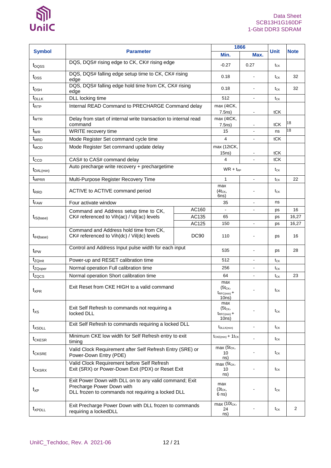

|                       |                                                                                                                                          | 1866                        |                                                        |                |                                                  |             |
|-----------------------|------------------------------------------------------------------------------------------------------------------------------------------|-----------------------------|--------------------------------------------------------|----------------|--------------------------------------------------|-------------|
| <b>Symbol</b>         | <b>Parameter</b>                                                                                                                         |                             | Min.                                                   | Max.           | <b>Unit</b>                                      | <b>Note</b> |
| t <sub>DQSS</sub>     | DQS, DQS# rising edge to CK, CK# rising edge                                                                                             |                             | $-0.27$                                                | 0.27           | $t_{CK}$                                         |             |
| t <sub>DSS</sub>      | DQS, DQS# falling edge setup time to CK, CK# rising<br>edge                                                                              |                             | 0.18                                                   |                | $t_{CK}$                                         | 32          |
| $t_{DSH}$             | DQS, DQS# falling edge hold time from CK, CK# rising<br>edge                                                                             |                             | 0.18                                                   |                | tck                                              | 32          |
| $t_{\text{DLLK}}$     | DLL locking time                                                                                                                         |                             | 512                                                    | $\blacksquare$ | t <sub>CK</sub>                                  |             |
| $t_{\mathsf{RTP}}$    | Internal READ Command to PRECHARGE Command delay                                                                                         |                             | max (4tCK,<br>7.5ns)                                   | $\blacksquare$ | tCK                                              |             |
| $t_{WTR}$             | Delay from start of internal write transaction to internal read<br>command                                                               | max (4tCK,<br>7.5ns)        |                                                        | tCK            | 18                                               |             |
| $t_{WR}$              | WRITE recovery time                                                                                                                      |                             | 15                                                     |                | ns                                               | 18          |
| $t_{MRD}$             | Mode Register Set command cycle time                                                                                                     |                             | $\overline{4}$                                         | $\blacksquare$ | tCK                                              |             |
| $t_{\text{MOD}}$      | Mode Register Set command update delay                                                                                                   |                             | max (12tCK,<br>15ns)                                   |                | tCK                                              |             |
| $t_{CCD}$             | CAS# to CAS# command delay                                                                                                               |                             | 4                                                      | $\overline{a}$ | tCK                                              |             |
| $t_{\text{DAL}(min)}$ | Auto precharge write recovery + prechargetime                                                                                            |                             | $WR + t_{RP}$                                          |                | $t_{CK}$                                         |             |
| t <sub>MPRR</sub>     | Multi-Purpose Register Recovery Time                                                                                                     |                             | $\mathbf{1}$                                           | $\blacksquare$ | $t_{CK}$                                         | 22          |
| t <sub>RRD</sub>      | ACTIVE to ACTIVE command period                                                                                                          | max<br>$(4t_{CK}$<br>6ns)   |                                                        | $t_{CK}$       |                                                  |             |
| $t_{FAW}$             | Four activate window                                                                                                                     |                             | 35                                                     | $\mathbf{r}$   | ns                                               |             |
|                       | Command and Address setup time to CK,                                                                                                    | AC160                       |                                                        |                | ps                                               | 16          |
| $t_{\text{IS(base)}}$ | CK# referenced to Vih(ac) / Vil(ac) levels                                                                                               | AC135                       | 65                                                     |                | ps                                               | 16,27       |
|                       |                                                                                                                                          | AC125                       | 150                                                    |                | ps                                               | 16,27       |
| $t_{H(base)}$         | Command and Address hold time from CK,<br>CK# referenced to Vih(dc) / Vil(dc) levels                                                     | <b>DC90</b>                 | 110                                                    |                | ps                                               | 16          |
| $t_{IPW}$             | Control and Address Input pulse width for each input                                                                                     |                             | 535                                                    |                | ps                                               | 28          |
| $t_{ZQinit}$          | Power-up and RESET calibration time                                                                                                      |                             | 512                                                    |                | $t_{CK}$                                         |             |
| t <sub>ZQoper</sub>   | Normal operation Full calibration time                                                                                                   |                             | 256                                                    |                | $\mathfrak{t}_{\scriptscriptstyle{\mathsf{CK}}}$ |             |
| tzocs                 | Normal operation Short calibration time                                                                                                  |                             | 64                                                     |                | $\mathfrak{t}_{\scriptscriptstyle{\mathsf{CK}}}$ | 23          |
| $t_{\sf XPR}$         | Exit Reset from CKE HIGH to a valid command                                                                                              |                             | max<br>$(5t_{CK},$<br>$t_{\text{RFC}(min)}$ +<br>10ns) |                | $t_{CK}$                                         |             |
| $t_{\mathsf{XS}}$     | Exit Self Refresh to commands not requiring a<br>locked DLL                                                                              |                             | max<br>$(5t_{CK},$<br>$t_{\text{RFC}(min)}$ +<br>10ns) |                | tck                                              |             |
| t <sub>XSDLL</sub>    | Exit Self Refresh to commands requiring a locked DLL                                                                                     |                             | $t_{DLLK(min)}$                                        | ÷              | $t_{CK}$                                         |             |
| t <sub>CKESR</sub>    | Minimum CKE low width for Self Refresh entry to exit<br>timing                                                                           | $t_{CKE(min)} + 1t_{CK}$    | ä,                                                     | $t_{CK}$       |                                                  |             |
| t <sub>CKSRE</sub>    | Valid Clock Requirement after Self Refresh Entry (SRE) or<br>Power-Down Entry (PDE)                                                      | $max(5t_{CK},$<br>10<br>ns) |                                                        | $t_{CK}$       |                                                  |             |
| t <sub>CKSRX</sub>    | Valid Clock Requirement before Self Refresh<br>Exit (SRX) or Power-Down Exit (PDX) or Reset Exit                                         | $max(5t_{CK},$<br>10<br>ns) |                                                        | $t_{CK}$       |                                                  |             |
| $t_{\sf XP}$          | Exit Power Down with DLL on to any valid command; Exit<br>Precharge Power Down with<br>DLL frozen to commands not requiring a locked DLL |                             | max<br>$(3t_{CK},$<br>$6$ ns)                          |                | $t_{CK}$                                         |             |
| $t_{\text{XPDLL}}$    | Exit Precharge Power Down with DLL frozen to commands<br>requiring a lockedDLL                                                           |                             | $max(\overline{10t_{CK}},$<br>24<br>ns)                |                | $t_{CK}$                                         | 2           |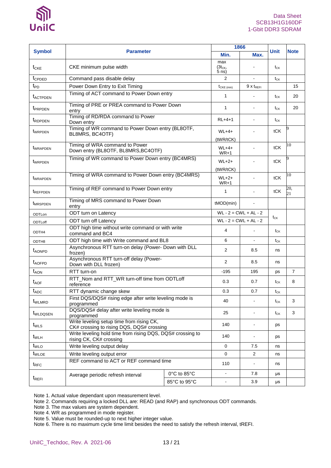

|                             |                                                                                        | 1866         |                             |                        |                 |                |
|-----------------------------|----------------------------------------------------------------------------------------|--------------|-----------------------------|------------------------|-----------------|----------------|
| <b>Symbol</b>               | <b>Parameter</b>                                                                       | Min.         | Max.                        | <b>Unit</b>            | <b>Note</b>     |                |
| $t_{CKE}$                   | CKE minimum pulse width                                                                |              | max<br>$(3t_{CK},$<br>5 ns) |                        | $t_{CK}$        |                |
| t <sub>CPDED</sub>          | Command pass disable delay                                                             | 2            | $\blacksquare$              | $t_{CK}$               |                 |                |
| $t_{\text{PD}}$             | Power Down Entry to Exit Timing                                                        |              | $t_{CKE (min)}$             | $9x$ t <sub>refl</sub> |                 | 15             |
| <b>t</b> <sub>ACTPDEN</sub> | Timing of ACT command to Power Down entry                                              | $\mathbf{1}$ |                             | $t_{CK}$               | 20              |                |
| t <sub>PRPDEN</sub>         | Timing of PRE or PREA command to Power Down<br>entry                                   |              | $\mathbf{1}$                | ÷                      | $t_{CK}$        | 20             |
| <i><b>t</b>RDPDEN</i>       | Timing of RD/RDA command to Power<br>Down entry                                        |              | $RL+4+1$                    |                        | t <sub>CK</sub> |                |
| t <sub>WRPDEN</sub>         | Timing of WR command to Power Down entry (BL8OTF,<br>BL8MRS, BC4OTF)                   |              | $WL+4+$<br>(tWR/tCK)        |                        | tCK             |                |
| <b><i>UWRAPDEN</i></b>      | Timing of WRA command to Power<br>Down entry (BL8OTF, BL8MRS, BC4OTF)                  |              | $WL+4+$<br>$WR+1$           |                        | tCK             | 10             |
| twrppen                     | Timing of WR command to Power Down entry (BC4MRS)                                      |              | $WL+2+$<br>(tWR/tCK)        |                        | tCK             | 9              |
| <b><i>UWRAPDEN</i></b>      | Timing of WRA command to Power Down entry (BC4MRS)                                     |              | $WL+2+$<br>$WR+1$           |                        | tCK             | 10             |
| <i><b>TREFPDEN</b></i>      | Timing of REF command to Power Down entry                                              | $\mathbf{1}$ | ٠                           | tCK                    | 20,<br>21       |                |
| t <sub>MRSPDEN</sub>        | Timing of MRS command to Power Down<br>entry                                           | tMOD(min)    |                             |                        |                 |                |
| ODTLon                      | ODT turn on Latency                                                                    |              | $WL - 2 = CWL + AL - 2$     |                        |                 |                |
| ODTLoff                     | ODT turn off Latency                                                                   |              | $WL - 2 = CWL + AL - 2$     | $t_{CK}$               |                 |                |
| ODTH4                       | ODT high time without write command or with write<br>command and BC4                   | 4            |                             | $t_{CK}$               |                 |                |
| ODTH8                       | ODT high time with Write command and BL8                                               |              | 6                           |                        | $t_{CK}$        |                |
| <b>t</b> <sub>AONPD</sub>   | Asynchronous RTT turn-on delay (Power- Down with DLL<br>frozen)                        |              | 2                           | 8.5                    | ns              |                |
| t <sub>AOFPD</sub>          | Asynchronous RTT turn-off delay (Power-<br>Down with DLL frozen)                       |              | 2                           | 8.5                    | ns              |                |
| $t_{AON}$                   | RTT turn-on                                                                            |              | $-195$                      | 195                    | ps              | $\overline{7}$ |
| $t_{\text{AOF}}$            | RTT_Nom and RTT_WR turn-off time from ODTLoff<br>reference                             |              | 0.3                         | 0.7                    | $t_{CK}$        | 8              |
| $t_{ADC}$                   | RTT dynamic change skew                                                                |              | 0.3                         | 0.7                    | $t_{CK}$        |                |
| <b>t</b> <sub>WLMRD</sub>   | First DQS/DQS# rising edge after write leveling mode is<br>programmed                  |              | 40                          | ÷                      | $t_{CK}$        | 3              |
| t <sub>WLDQSEN</sub>        | DQS/DQS# delay after write leveling mode is<br>programmed                              |              | 25                          | ۰                      | $t_{CK}$        | 3              |
| $t_{WLS}$                   | Write leveling setup time from rising CK,<br>CK# crossing to rising DQS, DQS# crossing | 140          |                             | ps                     |                 |                |
| $t_{WLH}$                   | Write leveling hold time from rising DQS, DQS# crossing to<br>rising CK, CK# crossing  |              | 140                         |                        | ps              |                |
| $t_{\text{WLO}}$            | Write leveling output delay                                                            | $\mathbf 0$  | 7.5                         | ns                     |                 |                |
| t <sub>WLOE</sub>           | Write leveling output error                                                            | $\mathbf 0$  | $\overline{2}$              | ns                     |                 |                |
| trfc                        | REF command to ACT or REF command time                                                 |              | 110                         |                        | ns              |                |
|                             | Average periodic refresh interval                                                      | 0°C to 85°C  | $\blacksquare$              | 7.8                    | μs              |                |
| $t_{\text{REFI}}$           |                                                                                        | 85°C to 95°C | $\blacksquare$              | 3.9                    | μs              |                |

Note 1. Actual value dependant upon measurement level.

Note 2. Commands requiring a locked DLL are: READ (and RAP) and synchronous ODT commands.

Note 3. The max values are system dependent.

Note 4. WR as programmed in mode register.

Note 5. Value must be rounded-up to next higher integer value.

Note 6. There is no maximum cycle time limit besides the need to satisfy the refresh interval, tREFI.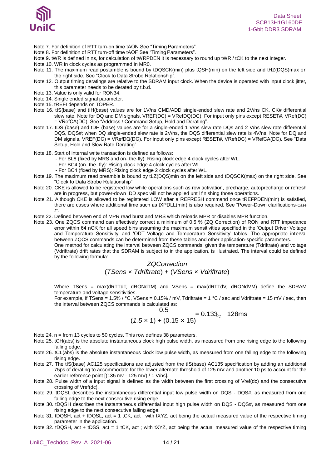

- Note 7. For definition of RTT turn-on time tAON See "Timing Parameters".
- Note 8. For definition of RTT turn-off time tAOF See "Timing Parameters".
- Note 9. tWR is defined in ns, for calculation of tWRPDEN it is necessary to round up tWR / tCK to the next integer.
- Note 10. WR in clock cycles as programmed in MR0.
- Note 11. The maximum read postamble is bound by tDQSCK(min) plus tQSH(min) on the left side and tHZ(DQS)max on the right side. See "Clock to Data Strobe Relationship".
- Note 12. Output timing deratings are relative to the SDRAM input clock. When the device is operated with input clock jitter, this parameter needs to be derated by t.b.d.
- Note 13. Value is only valid for RON34.
- Note 14. Single ended signal parameter.
- Note 15. tREFI depends on TOPER.
- Note 16. tIS(base) and tIH(base) values are for 1V/ns CMD/ADD single-ended slew rate and 2V/ns CK, CK# differential slew rate. Note for DQ and DM signals, VREF(DC) = VRefDQ(DC). For input only pins except RESET#, VRef(DC) = VRefCA(DC). See "Address / Command Setup, Hold and Derating".
- Note 17. tDS (base) and tDH (base) values are for a single-ended 1 V/ns slew rate DQs and 2 V/ns slew rate differential DQS, DQS#; when DQ single-ended slew rate is 2V/ns, the DQS differential slew rate is 4V/ns. Note for DQ and DM signals, VREF(DC) = VRefDQ(DC). For input only pins except RESET#, VRef(DC) = VRefCA(DC). See "Data Setup, Hold and Slew Rate Derating"
- Note 18. Start of internal write transaction is defined as follows:
	- For BL8 (fixed by MRS and on- the-fly): Rising clock edge 4 clock cycles after WL.
	- For BC4 (on- the- fly): Rising clock edge 4 clock cycles after WL.
	- For BC4 (fixed by MRS): Rising clock edge 2 clock cycles after WL.
- Note 19. The maximum read preamble is bound by tLZ(DQS)min on the left side and tDQSCK(max) on the right side. See "Clock to Data Strobe Relationship".
- Note 20. CKE is allowed to be registered low while operations such as row activation, precharge, autoprecharge or refresh are in progress, but power-down IDD spec will not be applied until finishing those operations.
- Note 21. Although CKE is allowed to be registered LOW after a REFRESH command once tREFPDEN(min) is satisfied, there are cases where additional time such as tXPDLL(min) is also required. See "Power-Down clarifications-Case 2".
- Note 22. Defined between end of MPR read burst and MRS which reloads MPR or disables MPR function.
- Note 23. One ZQCS command can effectively correct a minimum of 0.5 % (ZQ Correction) of RON and RTT impedance error within 64 nCK for all speed bins assuming the maximum sensitivities specified in the 'Output Driver Voltage and Temperature Sensitivity' and 'ODT Voltage and Temperature Sensitivity' tables. The appropriate interval between ZQCS commands can be determined from these tables and other application-specific parameters. One method for calculating the interval between ZQCS commands, given the temperature (Tdriftrate) and voltage (Vdriftrate) drift rates that the SDRAM is subject to in the application, is illustrated. The interval could be defined by the following formula:

*ZQCorrection* (*TSens* × *Tdriftrate*) + (*VSens* × *Vdriftrate*)

Where TSens = max(dRTTdT, dRONdTM) and VSens = max(dRTTdV, dRONdVM) define the SDRAM temperature and voltage sensitivities.

For example, if TSens = 1.5% / °C, VSens = 0.15% / mV, Tdriftrate = 1 °C / sec and Vdriftrate = 15 mV / sec, then the interval between ZQCS commands is calculated as:

$$
\frac{0.5}{(1.5 \times 1) + (0.15 \times 15)} = 0.133 \times 128 \text{ms}
$$

- Note 24. n = from 13 cycles to 50 cycles. This row defines 38 parameters.
- Note 25. tCH(abs) is the absolute instantaneous clock high pulse width, as measured from one rising edge to the following falling edge.
- Note 26. tCL(abs) is the absolute instantaneous clock low pulse width, as measured from one falling edge to the following rising edge.
- Note 27. The tIS(base) AC125 specifications are adjusted from the tIS(base) AC135 specification by adding an additional 75ps of derating to accommodate for the lower alternate threshold of 125 mV and another 10 ps to account for the earlier reference point [(135 mv - 125 mV) / 1 V/ns].
- Note 28. Pulse width of a input signal is defined as the width between the first crossing of Vref(dc) and the consecutive crossing of Vref(dc).
- Note 29. tDQSL describes the instantaneous differential input low pulse width on DQS DQS#, as measured from one falling edge to the next consecutive rising edge.
- Note 30. tDQSH describes the instantaneous differential input high pulse width on DQS DQS#, as measured from one rising edge to the next consecutive falling edge.
- Note 31. tDQSH, act + tDQSL, act = 1 tCK, act ; with tXYZ, act being the actual measured value of the respective timing parameter in the application.
- Note 32. tDQSH, act + tDSS, act = 1 tCK, act ; with tXYZ, act being the actual measured value of the respective timing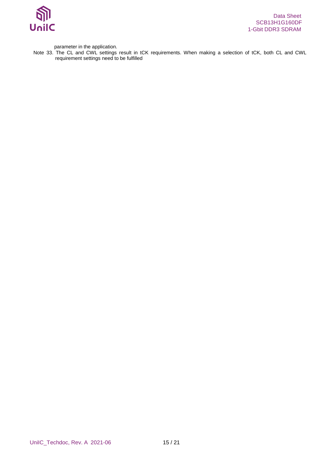

parameter in the application.

Note 33. The CL and CWL settings result in tCK requirements. When making a selection of tCK, both CL and CWL requirement settings need to be fulfilled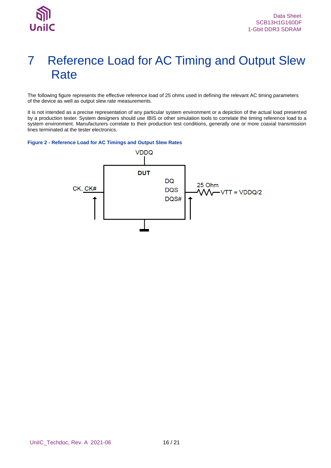## <span id="page-15-0"></span>7 Reference Load for AC Timing and Output Slew **Rate**

The following figure represents the effective reference load of 25 ohms used in defining the relevant AC timing parameters of the device as well as output slew rate measurements.

It is not intended as a precise representation of any particular system environment or a depiction of the actual load presented by a production tester. System designers should use IBIS or other simulation tools to correlate the timing reference load to a system environment. Manufacturers correlate to their production test conditions, generally one or more coaxial transmission lines terminated at the tester electronics.

#### <span id="page-15-1"></span>**Figure 2 - Reference Load for AC Timings and Output Slew Rates**

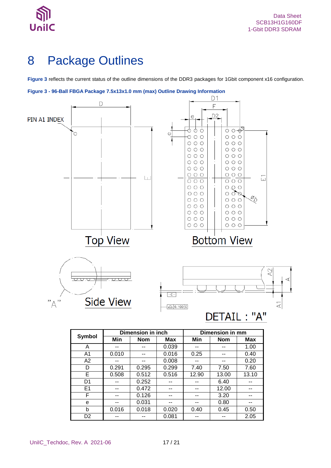

## <span id="page-16-0"></span>8 Package Outlines

**[Figure 3](#page-16-1)** reflects the current status of the outline dimensions of the DDR3 packages for 1Gbit component x16 configuration.

<span id="page-16-1"></span>**Figure 3 - 96-Ball FBGA Package 7.5x13x1.0 mm (max) Outline Drawing Information**



|                | ршенэюн шиген |            |       | PHILOISIVII III IIIII |            |       |
|----------------|---------------|------------|-------|-----------------------|------------|-------|
| Symbol         | Min           | <b>Nom</b> | Max   | Min                   | <b>Nom</b> | Max   |
| A              | --            | --         | 0.039 | --                    | --         | 1.00  |
| A <sub>1</sub> | 0.010         | --         | 0.016 | 0.25                  | --         | 0.40  |
| A <sub>2</sub> | --            | --         | 0.008 | --                    | --         | 0.20  |
| D              | 0.291         | 0.295      | 0.299 | 7.40                  | 7.50       | 7.60  |
| Е              | 0.508         | 0.512      | 0.516 | 12.90                 | 13.00      | 13.10 |
| D <sub>1</sub> |               | 0.252      |       |                       | 6.40       | --    |
| E <sub>1</sub> | --            | 0.472      | --    | --                    | 12.00      | --    |
| F              | --            | 0.126      | --    | --                    | 3.20       | --    |
| e              | --            | 0.031      |       |                       | 0.80       | --    |
| b              | 0.016         | 0.018      | 0.020 | 0.40                  | 0.45       | 0.50  |
| D <sub>2</sub> |               |            | 0.081 |                       |            | 2.05  |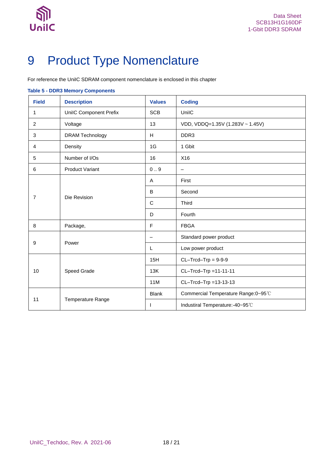

# <span id="page-17-0"></span>9 Product Type Nomenclature

For reference the UniIC SDRAM component nomenclature is enclosed in this chapter

### <span id="page-17-1"></span>**Table 5 - DDR3 Memory Components**

| <b>Field</b>   | <b>Description</b>            | <b>Values</b>            | <b>Coding</b>                        |
|----------------|-------------------------------|--------------------------|--------------------------------------|
| 1              | <b>UniIC Component Prefix</b> | <b>SCB</b>               | UnilC                                |
| 2              | Voltage                       | 13                       | VDD, VDDQ=1.35V (1.283V ~ 1.45V)     |
| 3              | <b>DRAM Technology</b>        | H                        | DDR <sub>3</sub>                     |
| $\overline{4}$ | Density                       | 1G                       | 1 Gbit                               |
| 5              | Number of I/Os                | 16                       | X16                                  |
| 6              | <b>Product Variant</b>        | 0.9                      | $\overline{\phantom{0}}$             |
|                |                               | A                        | First                                |
|                |                               | B                        | Second                               |
| $\overline{7}$ | Die Revision                  | $\mathbf C$              | <b>Third</b>                         |
|                |                               | D                        | Fourth                               |
| 8              | Package,                      | F                        | <b>FBGA</b>                          |
|                |                               | $\overline{\phantom{0}}$ | Standard power product               |
| 9              | Power                         | L                        | Low power product                    |
|                |                               | 15H                      | $CL-Trcd-Trp = 9-9-9$                |
| 10             | Speed Grade                   | 13K                      | CL-Trcd-Trp =11-11-11                |
|                |                               | 11M                      | CL-Trcd-Trp =13-13-13                |
|                |                               | <b>Blank</b>             | Commercial Temperature Range: 0~95°C |
| 11             | <b>Temperature Range</b>      | $\mathsf{I}$             | Industiral Temperature:-40~95°C      |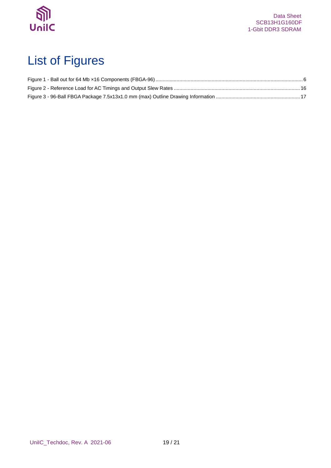

# <span id="page-18-0"></span>List of Figures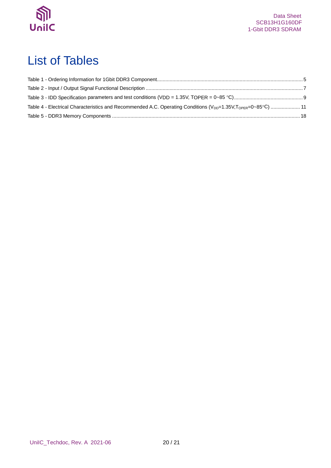

## <span id="page-19-0"></span>List of Tables

| Table 4 - Electrical Characteristics and Recommended A.C. Operating Conditions ( $V_{DD}$ =1.35V, T <sub>OPER</sub> =0~85°C)  11 |  |
|----------------------------------------------------------------------------------------------------------------------------------|--|
|                                                                                                                                  |  |